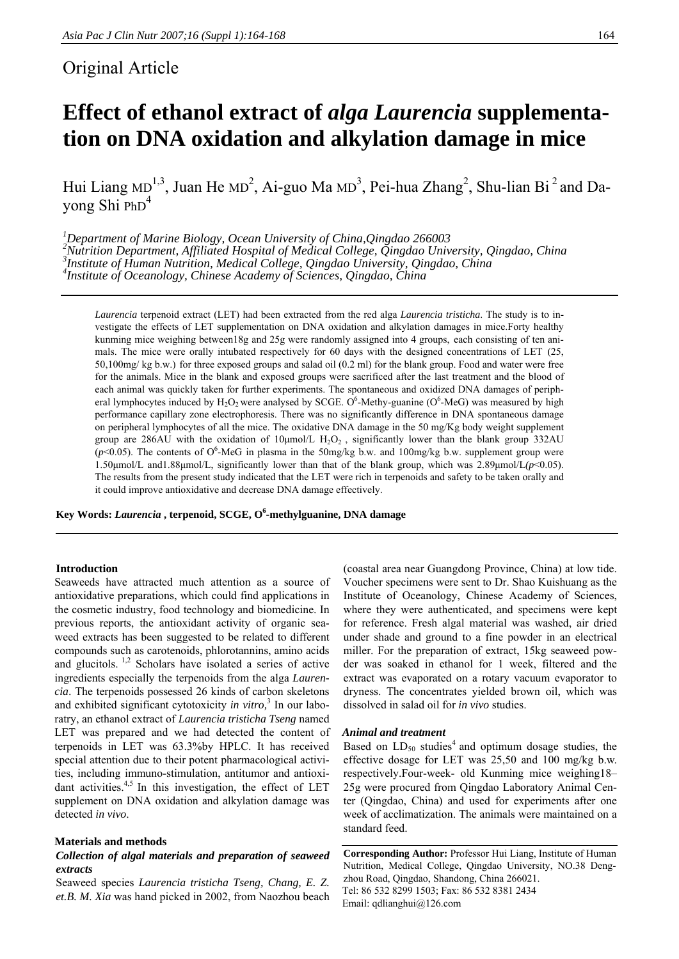## Original Article

# **Effect of ethanol extract of** *alga Laurencia* **supplementation on DNA oxidation and alkylation damage in mice**

Hui Liang MD<sup>1,3</sup>, Juan He MD<sup>2</sup>, Ai-guo Ma MD<sup>3</sup>, Pei-hua Zhang<sup>2</sup>, Shu-lian Bi<sup>2</sup> and Dayong Shi PhD<sup>4</sup>

<sup>1</sup><br>
<sup>1</sup>Department of Marine Biology, Ocean University of China, Qingdao 266003<br>
<sup>2</sup>Nutrition Department, Affiliated Hegnital of Mediael College, Oingdao Univ <sup>2</sup> Nutrition Department, Affiliated Hospital of Medical College, Qingdao University, Qingdao, China <sup>3</sup><br><sup>3</sup> Institute of Human Nutrition, Medical College, Qingdae University, Qingdae, China *Institute of Human Nutrition, Medical College, Qingdao University, Qingdao, China 4 Institute of Oceanology, Chinese Academy of Sciences, Qingdao, China* 

*Laurencia* terpenoid extract (LET) had been extracted from the red alga *Laurencia tristicha*. The study is to investigate the effects of LET supplementation on DNA oxidation and alkylation damages in mice.Forty healthy kunming mice weighing between18g and 25g were randomly assigned into 4 groups, each consisting of ten animals. The mice were orally intubated respectively for 60 days with the designed concentrations of LET (25, 50,100mg/ kg b.w.) for three exposed groups and salad oil (0.2 ml) for the blank group. Food and water were free for the animals. Mice in the blank and exposed groups were sacrificed after the last treatment and the blood of each animal was quickly taken for further experiments. The spontaneous and oxidized DNA damages of peripheral lymphocytes induced by  $H_2O_2$  were analysed by SCGE. O<sup>6</sup>-Methy-guanine (O<sup>6</sup>-MeG) was measured by high performance capillary zone electrophoresis. There was no significantly difference in DNA spontaneous damage on peripheral lymphocytes of all the mice. The oxidative DNA damage in the 50 mg/Kg body weight supplement group are 286AU with the oxidation of  $10 \mu mol/L H_2O_2$ , significantly lower than the blank group 332AU  $(p<0.05)$ . The contents of O<sup>6</sup>-MeG in plasma in the 50mg/kg b.w. and 100mg/kg b.w. supplement group were 1.50μmol/L and1.88μmol/L, significantly lower than that of the blank group, which was 2.89μmol/L*(p*<0.05). The results from the present study indicated that the LET were rich in terpenoids and safety to be taken orally and it could improve antioxidative and decrease DNA damage effectively.

**Key Words:** *Laurencia* **, terpenoid, SCGE, O6 -methylguanine, DNA damage** 

## **Introduction**

Seaweeds have attracted much attention as a source of antioxidative preparations, which could find applications in the cosmetic industry, food technology and biomedicine. In previous reports, the antioxidant activity of organic seaweed extracts has been suggested to be related to different compounds such as carotenoids, phlorotannins, amino acids and glucitols. 1,2 Scholars have isolated a series of active ingredients especially the terpenoids from the alga *Laurencia*. The terpenoids possessed 26 kinds of carbon skeletons and exhibited significant cytotoxicity *in vitro*,<sup>3</sup> In our laboratry, an ethanol extract of *Laurencia tristicha Tseng* named LET was prepared and we had detected the content of terpenoids in LET was 63.3%by HPLC. It has received special attention due to their potent pharmacological activities, including immuno-stimulation, antitumor and antioxidant activities.<sup>4,5</sup> In this investigation, the effect of LET supplement on DNA oxidation and alkylation damage was detected *in vivo*.

## **Materials and methods**

## *Collection of algal materials and preparation of seaweed extracts*

Seaweed species *Laurencia tristicha Tseng, Chang, E. Z. et.B. M. Xia* was hand picked in 2002, from Naozhou beach

(coastal area near Guangdong Province, China) at low tide. Voucher specimens were sent to Dr. Shao Kuishuang as the Institute of Oceanology, Chinese Academy of Sciences, where they were authenticated, and specimens were kept for reference. Fresh algal material was washed, air dried under shade and ground to a fine powder in an electrical miller. For the preparation of extract, 15kg seaweed powder was soaked in ethanol for 1 week, filtered and the extract was evaporated on a rotary vacuum evaporator to dryness. The concentrates yielded brown oil, which was dissolved in salad oil for *in vivo* studies.

#### *Animal and treatment*

Based on  $LD_{50}$  studies<sup>4</sup> and optimum dosage studies, the effective dosage for LET was 25,50 and 100 mg/kg b.w. respectively.Four-week- old Kunming mice weighing18– 25g were procured from Qingdao Laboratory Animal Center (Qingdao, China) and used for experiments after one week of acclimatization. The animals were maintained on a standard feed.

**Corresponding Author:** Professor Hui Liang, Institute of Human Nutrition, Medical College, Qingdao University, NO.38 Dengzhou Road, Qingdao, Shandong, China 266021. Tel: 86 532 8299 1503; Fax: 86 532 8381 2434 Email: qdlianghui@126.com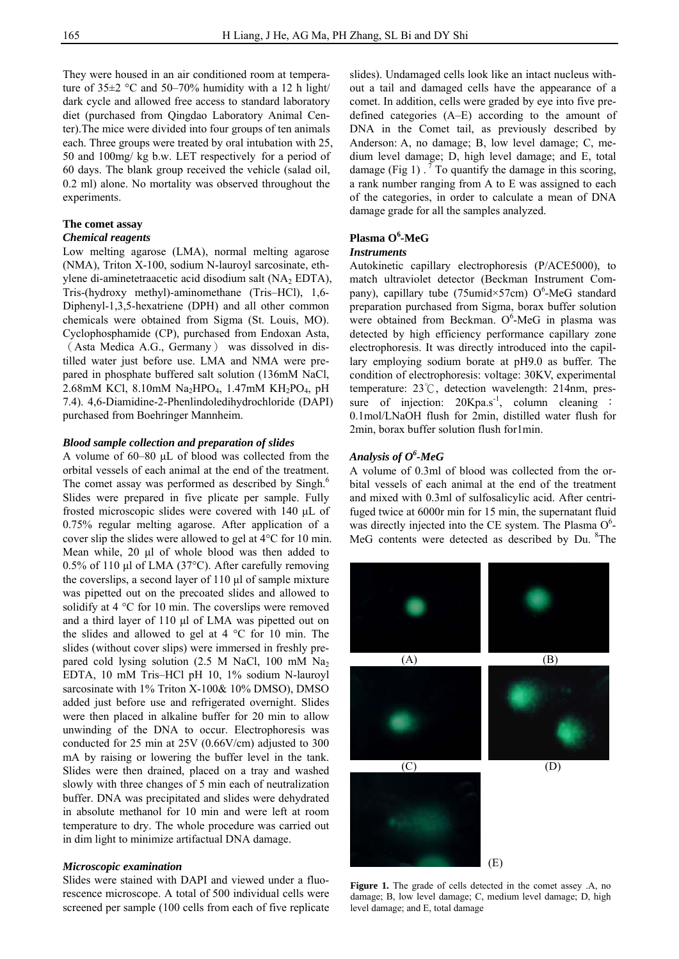They were housed in an air conditioned room at temperature of  $35\pm2$  °C and  $50-70\%$  humidity with a 12 h light/ dark cycle and allowed free access to standard laboratory diet (purchased from Qingdao Laboratory Animal Center).The mice were divided into four groups of ten animals each. Three groups were treated by oral intubation with 25, 50 and 100mg/ kg b.w. LET respectively for a period of 60 days. The blank group received the vehicle (salad oil, 0.2 ml) alone. No mortality was observed throughout the experiments.

## **The comet assay**

#### *Chemical reagents*

Low melting agarose (LMA), normal melting agarose (NMA), Triton X-100, sodium N-lauroyl sarcosinate, ethylene di-aminetetraacetic acid disodium salt (NA<sub>2</sub> EDTA), Tris-(hydroxy methyl)-aminomethane (Tris–HCl), 1,6- Diphenyl-1,3,5-hexatriene (DPH) and all other common chemicals were obtained from Sigma (St. Louis, MO). Cyclophosphamide (CP), purchased from Endoxan Asta, (Asta Medica A.G., Germany) was dissolved in distilled water just before use. LMA and NMA were prepared in phosphate buffered salt solution (136mM NaCl, 2.68mM KCl, 8.10mM Na<sub>2</sub>HPO<sub>4</sub>, 1.47mM KH<sub>2</sub>PO<sub>4</sub>, pH 7.4). 4,6-Diamidine-2-Phenlindoledihydrochloride (DAPI) purchased from Boehringer Mannheim.

## *Blood sample collection and preparation of slides*

A volume of 60–80 μL of blood was collected from the orbital vessels of each animal at the end of the treatment. The comet assay was performed as described by Singh.<sup>6</sup> Slides were prepared in five plicate per sample. Fully frosted microscopic slides were covered with 140 μL of 0.75% regular melting agarose. After application of a cover slip the slides were allowed to gel at 4°C for 10 min. Mean while, 20 μl of whole blood was then added to 0.5% of 110 μl of LMA (37°C). After carefully removing the coverslips, a second layer of 110 μl of sample mixture was pipetted out on the precoated slides and allowed to solidify at 4 °C for 10 min. The coverslips were removed and a third layer of 110 μl of LMA was pipetted out on the slides and allowed to gel at  $4 \degree C$  for 10 min. The slides (without cover slips) were immersed in freshly prepared cold lysing solution (2.5 M NaCl, 100 mM Na2 EDTA, 10 mM Tris–HCl pH 10, 1% sodium N-lauroyl sarcosinate with 1% Triton X-100& 10% DMSO), DMSO added just before use and refrigerated overnight. Slides were then placed in alkaline buffer for 20 min to allow unwinding of the DNA to occur. Electrophoresis was conducted for 25 min at 25V (0.66V/cm) adjusted to 300 mA by raising or lowering the buffer level in the tank. Slides were then drained, placed on a tray and washed slowly with three changes of 5 min each of neutralization buffer. DNA was precipitated and slides were dehydrated in absolute methanol for 10 min and were left at room temperature to dry. The whole procedure was carried out in dim light to minimize artifactual DNA damage.

## *Microscopic examination*

Slides were stained with DAPI and viewed under a fluorescence microscope. A total of 500 individual cells were screened per sample (100 cells from each of five replicate

slides). Undamaged cells look like an intact nucleus without a tail and damaged cells have the appearance of a comet. In addition, cells were graded by eye into five predefined categories (A–E) according to the amount of DNA in the Comet tail, as previously described by Anderson: A, no damage; B, low level damage; C, medium level damage; D, high level damage; and E, total damage (Fig 1)  $\cdot$ <sup>7</sup> To quantify the damage in this scoring, a rank number ranging from A to E was assigned to each of the categories, in order to calculate a mean of DNA damage grade for all the samples analyzed.

## Plasma O<sup>6</sup>-MeG

## *Instruments*

Autokinetic capillary electrophoresis (P/ACE5000), to match ultraviolet detector (Beckman Instrument Company), capillary tube (75 umid $\times$ 57 cm) O<sup>6</sup>-MeG standard preparation purchased from Sigma, borax buffer solution were obtained from Beckman.  $O^6$ -MeG in plasma was detected by high efficiency performance capillary zone electrophoresis. It was directly introduced into the capillary employing sodium borate at pH9.0 as buffer. The condition of electrophoresis: voltage: 30KV, experimental temperature: 23℃, detection wavelength: 214nm, pressure of injection:  $20Kpa.s^{-1}$ , column cleaning : 0.1mol/LNaOH flush for 2min, distilled water flush for 2min, borax buffer solution flush for1min.

## *Analysis of O<sup>6</sup> -MeG*

A volume of 0.3ml of blood was collected from the orbital vessels of each animal at the end of the treatment and mixed with 0.3ml of sulfosalicylic acid. After centrifuged twice at 6000r min for 15 min, the supernatant fluid was directly injected into the CE system. The Plasma  $O<sup>6</sup>$ -MeG contents were detected as described by Du. <sup>8</sup>The



**Figure 1.** The grade of cells detected in the comet assey .A, no damage; B, low level damage; C, medium level damage; D, high level damage; and E, total damage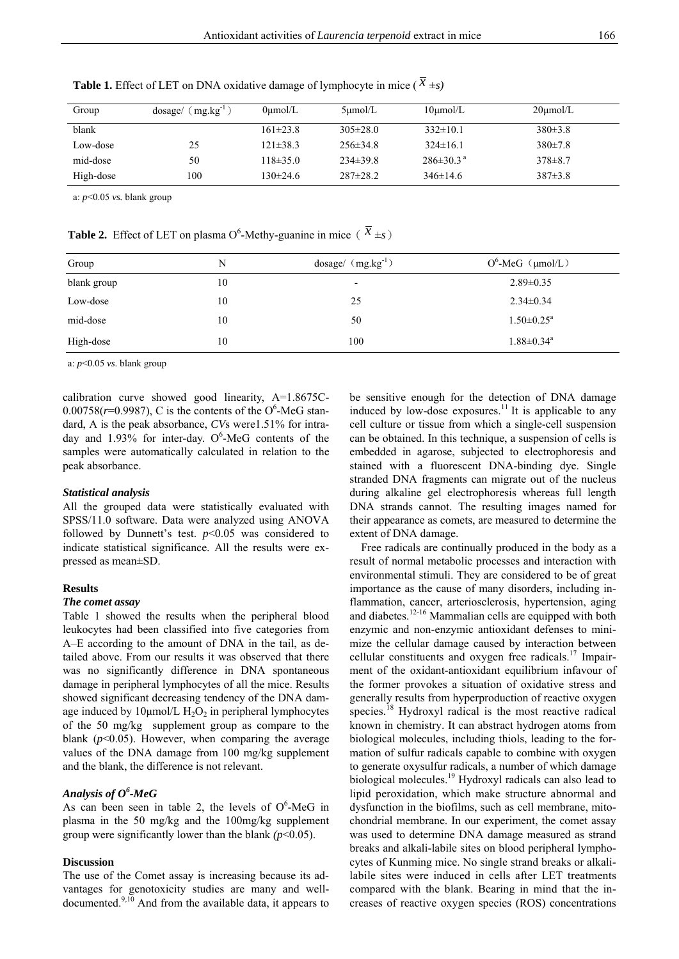| Group     | $mg/kg^{-1}$<br>dosage/ | $0$ umol/L     | $5 \mu$ mol/L  | $10$ umol/L                 | $20 \mu \mathrm{mol/L}$ |
|-----------|-------------------------|----------------|----------------|-----------------------------|-------------------------|
| blank     |                         | $161 \pm 23.8$ | $305\pm28.0$   | $332\pm10.1$                | $380\pm3.8$             |
| Low-dose  | 25                      | $121\pm38.3$   | $256 \pm 34.8$ | $324\pm16.1$                | $380 \pm 7.8$           |
| mid-dose  | 50                      | $118 \pm 35.0$ | $234\pm39.8$   | $286 \pm 30.3$ <sup>a</sup> | $378 \pm 8.7$           |
| High-dose | 100                     | 130±24.6       | $287 \pm 28.2$ | $346\pm14.6$                | $387 \pm 3.8$           |

**Table 1.** Effect of LET on DNA oxidative damage of lymphocyte in mice ( $\bar{x} \pm s$ )

a: *p*<0.05 *vs.* blank group

**Table 2.** Effect of LET on plasma O<sup>6</sup>-Methy-guanine in mice ( $\bar{x}$  ±*s*)

| Group       | N  | $dosage/ (mg.kg-1)$      | $O^6$ -MeG (µmol/L)          |
|-------------|----|--------------------------|------------------------------|
| blank group | 10 | $\overline{\phantom{0}}$ | $2.89 \pm 0.35$              |
| Low-dose    | 10 | 25                       | $2.34 \pm 0.34$              |
| mid-dose    | 10 | 50                       | $1.50 \pm 0.25$ <sup>a</sup> |
| High-dose   | 10 | 100                      | $1.88 \pm 0.34$ <sup>a</sup> |

a: *p*<0.05 *vs*. blank group

calibration curve showed good linearity, A=1.8675C- $0.00758(r=0.9987)$ , C is the contents of the O<sup>6</sup>-MeG standard, A is the peak absorbance, *CV*s were1.51% for intraday and 1.93% for inter-day.  $O^6$ -MeG contents of the samples were automatically calculated in relation to the peak absorbance.

#### *Statistical analysis*

All the grouped data were statistically evaluated with SPSS/11.0 software. Data were analyzed using ANOVA followed by Dunnett's test.  $p<0.05$  was considered to indicate statistical significance. All the results were expressed as mean±SD.

## **Results**

### *The comet assay*

Table 1 showed the results when the peripheral blood leukocytes had been classified into five categories from A–E according to the amount of DNA in the tail, as detailed above. From our results it was observed that there was no significantly difference in DNA spontaneous damage in peripheral lymphocytes of all the mice. Results showed significant decreasing tendency of the DNA damage induced by 10 $\mu$ mol/L H<sub>2</sub>O<sub>2</sub> in peripheral lymphocytes of the 50 mg/kg supplement group as compare to the blank (*p*<0.05). However, when comparing the average values of the DNA damage from 100 mg/kg supplement and the blank, the difference is not relevant.

## *Analysis of O<sup>6</sup> -MeG*

As can been seen in table 2, the levels of  $O^6$ -MeG in plasma in the 50 mg/kg and the 100mg/kg supplement group were significantly lower than the blank *(p*<0.05).

### **Discussion**

The use of the Comet assay is increasing because its advantages for genotoxicity studies are many and welldocumented.<sup>9,10</sup> And from the available data, it appears to be sensitive enough for the detection of DNA damage induced by low-dose exposures.<sup>11</sup> It is applicable to any cell culture or tissue from which a single-cell suspension can be obtained. In this technique, a suspension of cells is embedded in agarose, subjected to electrophoresis and stained with a fluorescent DNA-binding dye. Single stranded DNA fragments can migrate out of the nucleus during alkaline gel electrophoresis whereas full length DNA strands cannot. The resulting images named for their appearance as comets, are measured to determine the extent of DNA damage.

Free radicals are continually produced in the body as a result of normal metabolic processes and interaction with environmental stimuli. They are considered to be of great importance as the cause of many disorders, including inflammation, cancer, arteriosclerosis, hypertension, aging and diabetes.<sup>12-16</sup> Mammalian cells are equipped with both enzymic and non-enzymic antioxidant defenses to minimize the cellular damage caused by interaction between cellular constituents and oxygen free radicals.<sup>17</sup> Impairment of the oxidant-antioxidant equilibrium infavour of the former provokes a situation of oxidative stress and generally results from hyperproduction of reactive oxygen species.<sup>18</sup> Hydroxyl radical is the most reactive radical known in chemistry. It can abstract hydrogen atoms from biological molecules, including thiols, leading to the formation of sulfur radicals capable to combine with oxygen to generate oxysulfur radicals, a number of which damage biological molecules.19 Hydroxyl radicals can also lead to lipid peroxidation, which make structure abnormal and dysfunction in the biofilms, such as cell membrane, mitochondrial membrane. In our experiment, the comet assay was used to determine DNA damage measured as strand breaks and alkali-labile sites on blood peripheral lymphocytes of Kunming mice. No single strand breaks or alkalilabile sites were induced in cells after LET treatments compared with the blank. Bearing in mind that the increases of reactive oxygen species (ROS) concentrations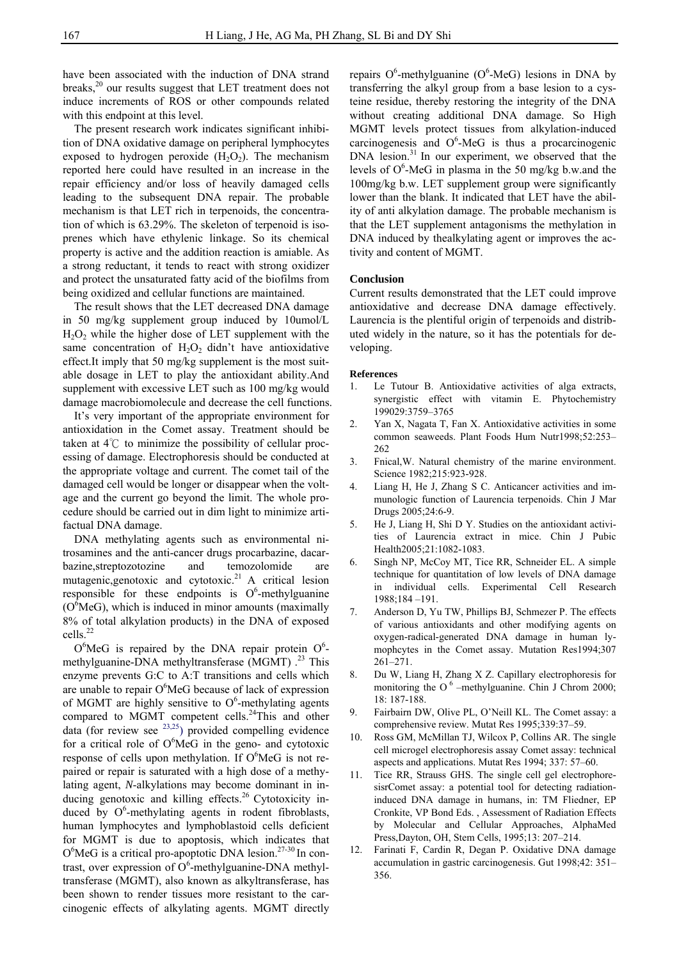have been associated with the induction of DNA strand breaks,<sup>20</sup> our results suggest that LET treatment does not induce increments of ROS or other compounds related with this endpoint at this level.

The present research work indicates significant inhibition of DNA oxidative damage on peripheral lymphocytes exposed to hydrogen peroxide  $(H_2O_2)$ . The mechanism reported here could have resulted in an increase in the repair efficiency and/or loss of heavily damaged cells leading to the subsequent DNA repair. The probable mechanism is that LET rich in terpenoids, the concentration of which is 63.29%. The skeleton of terpenoid is isoprenes which have ethylenic linkage. So its chemical property is active and the addition reaction is amiable. As a strong reductant, it tends to react with strong oxidizer and protect the unsaturated fatty acid of the biofilms from being oxidized and cellular functions are maintained.

The result shows that the LET decreased DNA damage in 50 mg/kg supplement group induced by 10umol/L  $H_2O_2$  while the higher dose of LET supplement with the same concentration of  $H_2O_2$  didn't have antioxidative effect.It imply that 50 mg/kg supplement is the most suitable dosage in LET to play the antioxidant ability.And supplement with excessive LET such as 100 mg/kg would damage macrobiomolecule and decrease the cell functions.

It's very important of the appropriate environment for antioxidation in the Comet assay. Treatment should be taken at 4℃ to minimize the possibility of cellular processing of damage. Electrophoresis should be conducted at the appropriate voltage and current. The comet tail of the damaged cell would be longer or disappear when the voltage and the current go beyond the limit. The whole procedure should be carried out in dim light to minimize artifactual DNA damage.

DNA methylating agents such as environmental nitrosamines and the anti-cancer drugs procarbazine, dacarbazine,streptozotozine and temozolomide are mutagenic, genotoxic and cytotoxic.<sup>21</sup> A critical lesion responsible for these endpoints is  $O^6$ -methylguanine  $(O<sup>6</sup>MeG)$ , which is induced in minor amounts (maximally 8% of total alkylation products) in the DNA of exposed cells.<sup>22</sup>

 $O<sup>6</sup>$ MeG is repaired by the DNA repair protein  $O<sup>6</sup>$ methylguanine-DNA methyltransferase (MGMT) .<sup>23</sup> This enzyme prevents G:C to A:T transitions and cells which are unable to repair  $O<sup>6</sup>$ MeG because of lack of expression of MGMT are highly sensitive to  $O^6$ -methylating agents compared to MGMT competent cells.<sup>24</sup>This and other data (for review see  $^{23,25}$ ) provided compelling evidence for a critical role of  $O<sup>6</sup>$ MeG in the geno- and cytotoxic response of cells upon methylation. If  $O<sup>6</sup>MeG$  is not repaired or repair is saturated with a high dose of a methylating agent, *N*-alkylations may become dominant in inducing genotoxic and killing effects.<sup>26</sup> Cytotoxicity induced by  $O^6$ -methylating agents in rodent fibroblasts, human lymphocytes and lymphoblastoid cells deficient for MGMT is due to apoptosis, which indicates that  $O<sup>6</sup>$ MeG is a critical pro-apoptotic DNA lesion.<sup>27-30</sup> In contrast, over expression of  $O^6$ -methylguanine-DNA methyltransferase (MGMT), also known as alkyltransferase, has been shown to render tissues more resistant to the carcinogenic effects of alkylating agents. MGMT directly

repairs  $O^6$ -methylguanine ( $O^6$ -MeG) lesions in DNA by transferring the alkyl group from a base lesion to a cysteine residue, thereby restoring the integrity of the DNA without creating additional DNA damage. So High MGMT levels protect tissues from alkylation-induced carcinogenesis and  $O^6$ -MeG is thus a procarcinogenic DNA lesion.<sup>31</sup> In our experiment, we observed that the levels of  $O^6$ -MeG in plasma in the 50 mg/kg b.w.and the 100mg/kg b.w. LET supplement group were significantly lower than the blank. It indicated that LET have the ability of anti alkylation damage. The probable mechanism is that the LET supplement antagonisms the methylation in DNA induced by thealkylating agent or improves the activity and content of MGMT.

## **Conclusion**

Current results demonstrated that the LET could improve antioxidative and decrease DNA damage effectively. Laurencia is the plentiful origin of terpenoids and distributed widely in the nature, so it has the potentials for developing.

#### **References**

- 1. Le Tutour B. Antioxidative activities of alga extracts, synergistic effect with vitamin E. Phytochemistry 199029:3759–3765
- 2. Yan X, Nagata T, Fan X. Antioxidative activities in some common seaweeds. Plant Foods Hum Nutr1998;52:253– 262
- 3. Fnical,W. Natural chemistry of the marine environment. Science 1982;215:923-928.
- 4. Liang H, He J, Zhang S C. Anticancer activities and immunologic function of Laurencia terpenoids. Chin J Mar Drugs 2005;24:6-9.
- 5. He J, Liang H, Shi D Y. Studies on the antioxidant activities of Laurencia extract in mice. Chin J Pubic Health2005;21:1082-1083.
- 6. Singh NP, McCoy MT, Tice RR, Schneider EL. A simple technique for quantitation of low levels of DNA damage in individual cells. Experimental Cell Research 1988;184 –191.
- 7. Anderson D, Yu TW, Phillips BJ, Schmezer P. The effects of various antioxidants and other modifying agents on oxygen-radical-generated DNA damage in human lymophcytes in the Comet assay. Mutation Res1994;307 261–271.
- 8. Du W, Liang H, Zhang X Z. Capillary electrophoresis for monitoring the O<sup>6</sup> –methylguanine. Chin J Chrom 2000; 18: 187-188.
- 9. Fairbairn DW, Olive PL, O'Neill KL. The Comet assay: a comprehensive review. Mutat Res 1995;339:37–59.
- 10. Ross GM, McMillan TJ, Wilcox P, Collins AR. The single cell microgel electrophoresis assay Comet assay: technical aspects and applications. Mutat Res 1994; 337: 57–60.
- 11. Tice RR, Strauss GHS. The single cell gel electrophoresisrComet assay: a potential tool for detecting radiationinduced DNA damage in humans, in: TM Fliedner, EP Cronkite, VP Bond Eds. , Assessment of Radiation Effects by Molecular and Cellular Approaches, AlphaMed Press,Dayton, OH, Stem Cells, 1995;13: 207–214.
- 12. Farinati F, Cardin R, Degan P. Oxidative DNA damage accumulation in gastric carcinogenesis. Gut 1998;42: 351– 356.